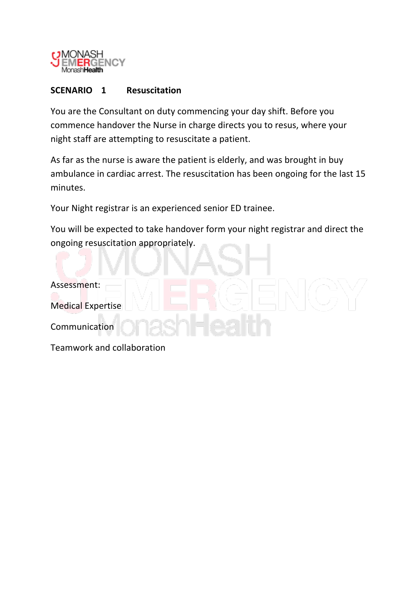

# **SCENARIO 1 Resuscitation**

You are the Consultant on duty commencing your day shift. Before you commence handover the Nurse in charge directs you to resus, where your night staff are attempting to resuscitate a patient.

As far as the nurse is aware the patient is elderly, and was brought in buy ambulance in cardiac arrest. The resuscitation has been ongoing for the last 15 minutes.

Your Night registrar is an experienced senior ED trainee.

You will be expected to take handover form your night registrar and direct the ongoing resuscitation appropriately.



Teamwork!and!collaboration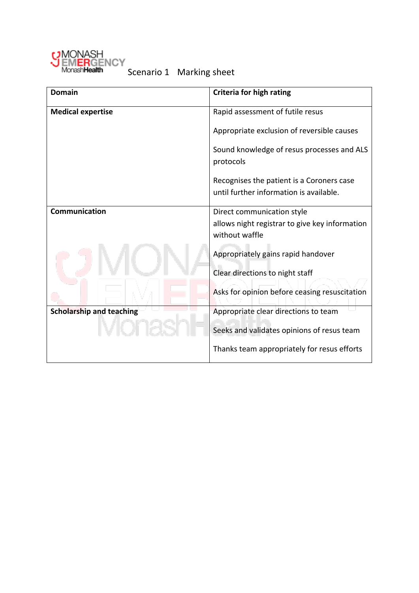

Scenario 1 Marking sheet

| <b>Domain</b>                   | <b>Criteria for high rating</b>                                                      |  |  |  |
|---------------------------------|--------------------------------------------------------------------------------------|--|--|--|
| <b>Medical expertise</b>        | Rapid assessment of futile resus                                                     |  |  |  |
|                                 | Appropriate exclusion of reversible causes                                           |  |  |  |
|                                 | Sound knowledge of resus processes and ALS<br>protocols                              |  |  |  |
|                                 | Recognises the patient is a Coroners case<br>until further information is available. |  |  |  |
| <b>Communication</b>            | Direct communication style                                                           |  |  |  |
|                                 | allows night registrar to give key information<br>without waffle                     |  |  |  |
|                                 | Appropriately gains rapid handover                                                   |  |  |  |
|                                 | Clear directions to night staff                                                      |  |  |  |
|                                 | Asks for opinion before ceasing resuscitation                                        |  |  |  |
| <b>Scholarship and teaching</b> | Appropriate clear directions to team                                                 |  |  |  |
|                                 | Seeks and validates opinions of resus team                                           |  |  |  |
|                                 | Thanks team appropriately for resus efforts                                          |  |  |  |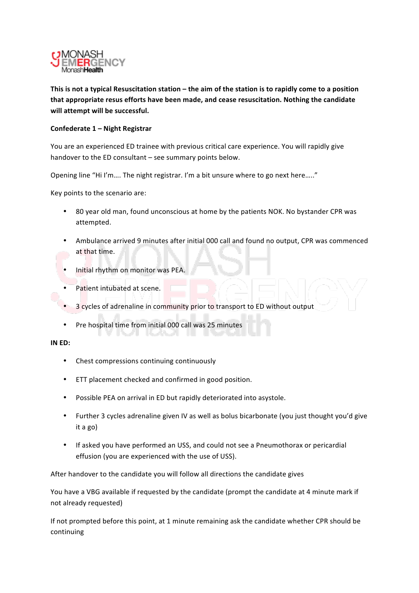

**This is not a typical Resuscitation station – the aim of the station is to rapidly come to a position** that appropriate resus efforts have been made, and cease resuscitation. Nothing the candidate will attempt will be successful.

## **Confederate)1)– Night)Registrar**

You are an experienced ED trainee with previous critical care experience. You will rapidly give handover to the ED consultant – see summary points below.

Opening line "Hi I'm.... The night registrar. I'm a bit unsure where to go next here....."

Key points to the scenario are:

- 80 year old man, found unconscious at home by the patients NOK. No bystander CPR was attempted.
- Ambulance arrived 9 minutes after initial 000 call and found no output, CPR was commenced at that time.
- Initial rhythm on monitor was PEA.

[1] - [1] - [1] -

- Patient intubated at scene.
- 3 cycles of adrenaline in community prior to transport to ED without output
- Pre hospital time from initial 000 call was 25 minutes

### **IN)ED:**

- Chest compressions continuing continuously
- ETT placement checked and confirmed in good position.
- Possible PEA on arrival in ED but rapidly deteriorated into asystole.
- Further 3 cycles adrenaline given IV as well as bolus bicarbonate (you just thought you'd give it a go)
- If asked you have performed an USS, and could not see a Pneumothorax or pericardial effusion (you are experienced with the use of USS).

After handover to the candidate you will follow all directions the candidate gives

You have a VBG available if requested by the candidate (prompt the candidate at 4 minute mark if not already requested)

If not prompted before this point, at 1 minute remaining ask the candidate whether CPR should be continuing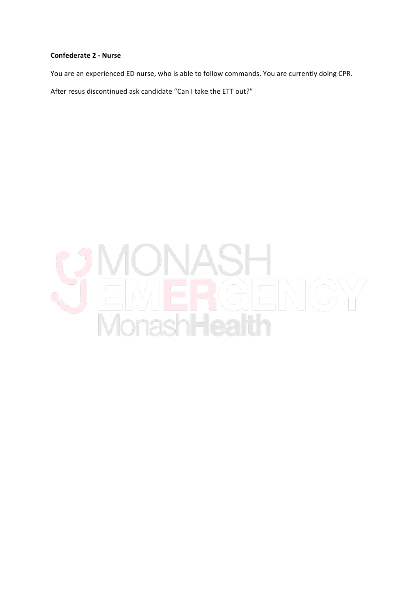#### **Confederate 2 - Nurse**

You are an experienced ED nurse, who is able to follow commands. You are currently doing CPR.

After resus discontinued ask candidate "Can I take the ETT out?"

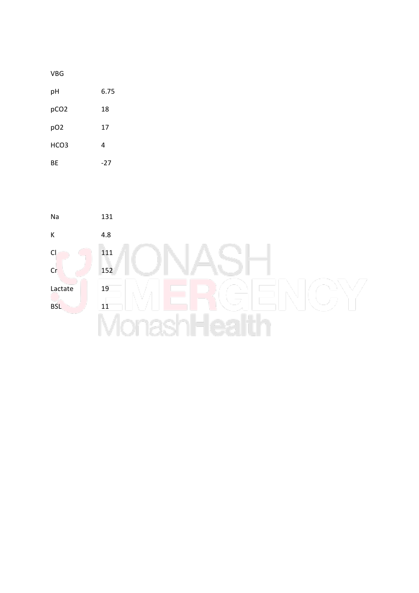| VBG              |      |
|------------------|------|
| pH               | 6.75 |
| pCO <sub>2</sub> | 18   |
| pO <sub>2</sub>  | 17   |
| HCO3             | 4    |
| ВF               | -27  |